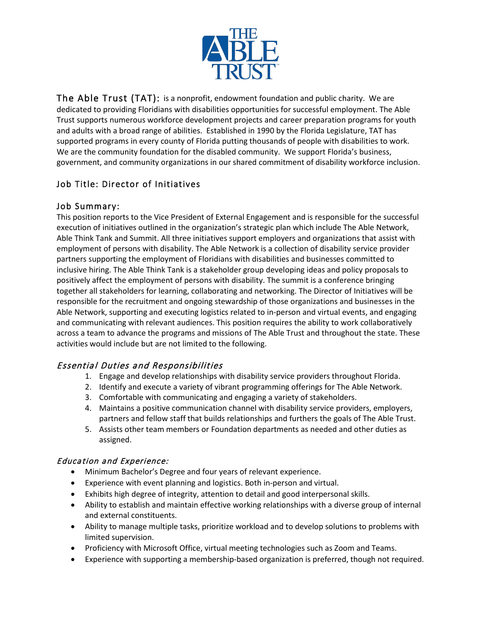

The Able Trust (TAT): is a nonprofit, endowment foundation and public charity. We are dedicated to providing Floridians with disabilities opportunities for successful employment. The Able Trust supports numerous workforce development projects and career preparation programs for youth and adults with a broad range of abilities. Established in 1990 by the Florida Legislature, TAT has supported programs in every county of Florida putting thousands of people with disabilities to work. We are the community foundation for the disabled community. We support Florida's business, government, and community organizations in our shared commitment of disability workforce inclusion.

# Job Title: Director of Initiatives

#### Job Summary:

This position reports to the Vice President of External Engagement and is responsible for the successful execution of initiatives outlined in the organization's strategic plan which include The Able Network, Able Think Tank and Summit. All three initiatives support employers and organizations that assist with employment of persons with disability. The Able Network is a collection of disability service provider partners supporting the employment of Floridians with disabilities and businesses committed to inclusive hiring. The Able Think Tank is a stakeholder group developing ideas and policy proposals to positively affect the employment of persons with disability. The summit is a conference bringing together all stakeholders for learning, collaborating and networking. The Director of Initiatives will be responsible for the recruitment and ongoing stewardship of those organizations and businesses in the Able Network, supporting and executing logistics related to in-person and virtual events, and engaging and communicating with relevant audiences. This position requires the ability to work collaboratively across a team to advance the programs and missions of The Able Trust and throughout the state. These activities would include but are not limited to the following.

## Essential Duties and Responsibilities

- 1. Engage and develop relationships with disability service providers throughout Florida.
- 2. Identify and execute a variety of vibrant programming offerings for The Able Network.
- 3. Comfortable with communicating and engaging a variety of stakeholders.
- 4. Maintains a positive communication channel with disability service providers, employers, partners and fellow staff that builds relationships and furthers the goals of The Able Trust.
- 5. Assists other team members or Foundation departments as needed and other duties as assigned.

## Education and Experience:

- Minimum Bachelor's Degree and four years of relevant experience.
- Experience with event planning and logistics. Both in-person and virtual.
- Exhibits high degree of integrity, attention to detail and good interpersonal skills.
- Ability to establish and maintain effective working relationships with a diverse group of internal and external constituents.
- Ability to manage multiple tasks, prioritize workload and to develop solutions to problems with limited supervision.
- Proficiency with Microsoft Office, virtual meeting technologies such as Zoom and Teams.
- Experience with supporting a membership-based organization is preferred, though not required.